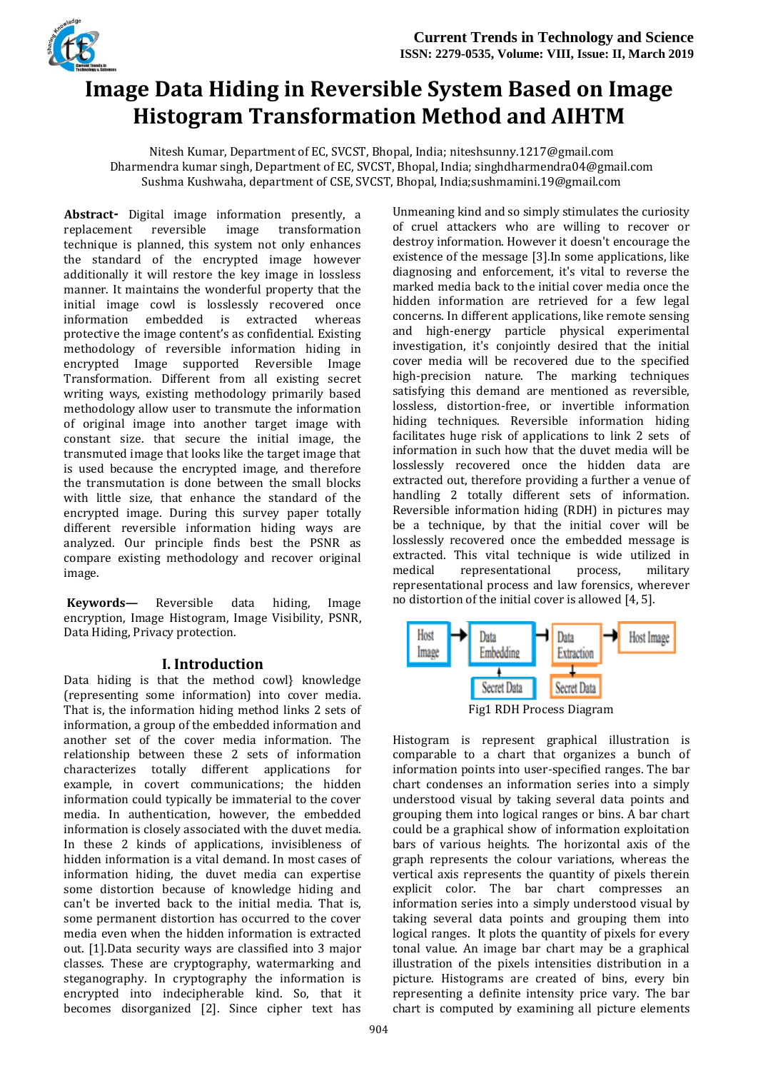

# **Image Data Hiding in Reversible System Based on Image Histogram Transformation Method and AIHTM**

Nitesh Kumar, Department of EC, SVCST, Bhopal, India; niteshsunny.1217@gmail.com Dharmendra kumar singh, Department of EC, SVCST, Bhopal, India; singhdharmendra04@gmail.com Sushma Kushwaha, department of CSE, SVCST, Bhopal, India;sushmamini.19@gmail.com

Abstract- Digital image information presently, a replacement reversible image transformation replacement reversible image transformation technique is planned, this system not only enhances the standard of the encrypted image however additionally it will restore the key image in lossless manner. It maintains the wonderful property that the initial image cowl is losslessly recovered once<br>information embedded is extracted whereas information embedded is extracted whereas protective the image content's as confidential. Existing methodology of reversible information hiding in encrypted Image supported Reversible Image Transformation. Different from all existing secret writing ways, existing methodology primarily based methodology allow user to transmute the information of original image into another target image with constant size. that secure the initial image, the transmuted image that looks like the target image that is used because the encrypted image, and therefore the transmutation is done between the small blocks with little size, that enhance the standard of the encrypted image. During this survey paper totally different reversible information hiding ways are analyzed. Our principle finds best the PSNR as compare existing methodology and recover original image.

**Keywords—** Reversible data hiding, Image encryption, Image Histogram, Image Visibility, PSNR, Data Hiding, Privacy protection.

#### **I. Introduction**

Data hiding is that the method cowl} knowledge (representing some information) into cover media. That is, the information hiding method links 2 sets of information, a group of the embedded information and another set of the cover media information. The relationship between these 2 sets of information characterizes totally different applications for example, in covert communications; the hidden information could typically be immaterial to the cover media. In authentication, however, the embedded information is closely associated with the duvet media. In these 2 kinds of applications, invisibleness of hidden information is a vital demand. In most cases of information hiding, the duvet media can expertise some distortion because of knowledge hiding and can't be inverted back to the initial media. That is, some permanent distortion has occurred to the cover media even when the hidden information is extracted out. [1].Data security ways are classified into 3 major classes. These are cryptography, watermarking and steganography. In cryptography the information is encrypted into indecipherable kind. So, that it becomes disorganized [2]. Since cipher text has

Unmeaning kind and so simply stimulates the curiosity of cruel attackers who are willing to recover or destroy information. However it doesn't encourage the existence of the message [3].In some applications, like diagnosing and enforcement, it's vital to reverse the marked media back to the initial cover media once the hidden information are retrieved for a few legal concerns. In different applications, like remote sensing and high-energy particle physical experimental investigation, it's conjointly desired that the initial cover media will be recovered due to the specified high-precision nature. The marking techniques satisfying this demand are mentioned as reversible, lossless, distortion-free, or invertible information hiding techniques. Reversible information hiding facilitates huge risk of applications to link 2 sets of information in such how that the duvet media will be losslessly recovered once the hidden data are extracted out, therefore providing a further a venue of handling 2 totally different sets of information. Reversible information hiding (RDH) in pictures may be a technique, by that the initial cover will be losslessly recovered once the embedded message is extracted. This vital technique is wide utilized in medical representational process, military representational process and law forensics, wherever no distortion of the initial cover is allowed [4, 5].



Histogram is represent graphical illustration is comparable to a chart that organizes a bunch of information points into user-specified ranges. The bar chart condenses an information series into a simply understood visual by taking several data points and grouping them into logical ranges or bins. A bar chart could be a graphical show of information exploitation bars of various heights. The horizontal axis of the graph represents the colour variations, whereas the vertical axis represents the quantity of pixels therein explicit color. The bar chart compresses an information series into a simply understood visual by taking several data points and grouping them into logical ranges. It plots the quantity of pixels for every tonal value. An image bar chart may be a graphical illustration of the pixels intensities distribution in a picture. Histograms are created of bins, every bin representing a definite intensity price vary. The bar chart is computed by examining all picture elements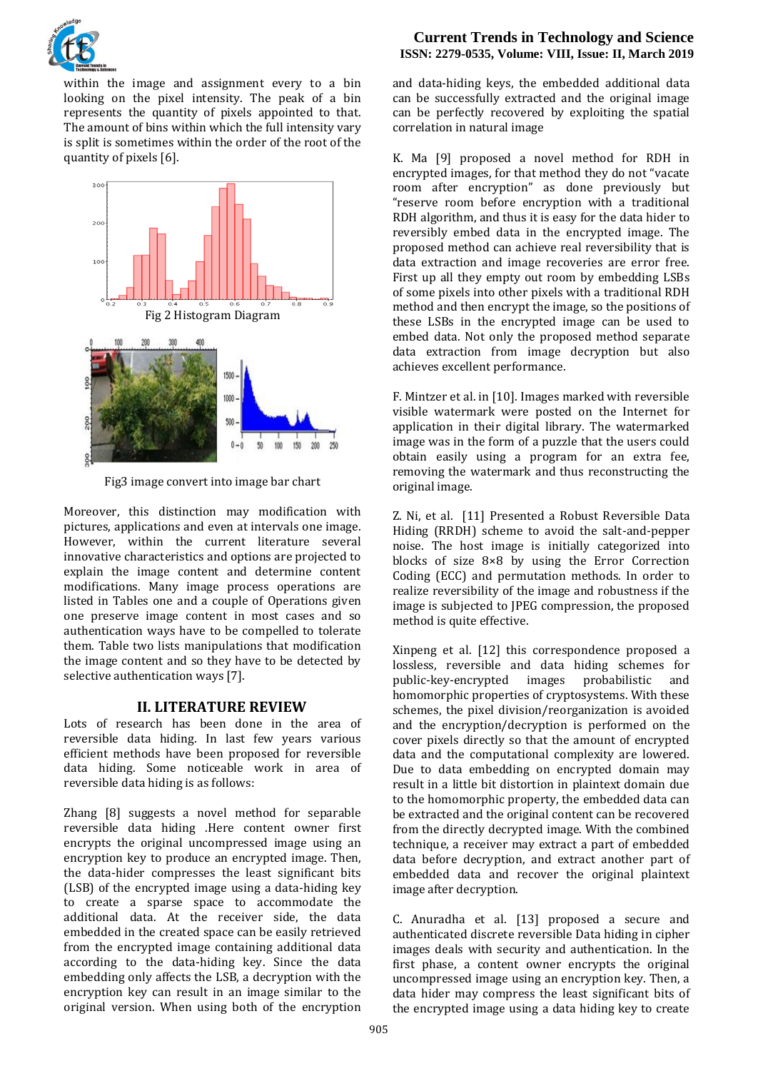

within the image and assignment every to a bin looking on the pixel intensity. The peak of a bin represents the quantity of pixels appointed to that. The amount of bins within which the full intensity vary is split is sometimes within the order of the root of the quantity of pixels [6].



Fig3 image convert into image bar chart

Moreover, this distinction may modification with pictures, applications and even at intervals one image. However, within the current literature several innovative characteristics and options are projected to explain the image content and determine content modifications. Many image process operations are listed in Tables one and a couple of Operations given one preserve image content in most cases and so authentication ways have to be compelled to tolerate them. Table two lists manipulations that modification the image content and so they have to be detected by selective authentication ways [7].

## **II. LITERATURE REVIEW**

Lots of research has been done in the area of reversible data hiding. In last few years various efficient methods have been proposed for reversible data hiding. Some noticeable work in area of reversible data hiding is as follows:

Zhang [8] suggests a novel method for separable reversible data hiding .Here content owner first encrypts the original uncompressed image using an encryption key to produce an encrypted image. Then, the data-hider compresses the least significant bits (LSB) of the encrypted image using a data-hiding key to create a sparse space to accommodate the additional data. At the receiver side, the data embedded in the created space can be easily retrieved from the encrypted image containing additional data according to the data-hiding key. Since the data embedding only affects the LSB, a decryption with the encryption key can result in an image similar to the original version. When using both of the encryption

#### **Current Trends in Technology and Science ISSN: 2279-0535, Volume: VIII, Issue: II, March 2019**

and data-hiding keys, the embedded additional data can be successfully extracted and the original image can be perfectly recovered by exploiting the spatial correlation in natural image

K. Ma [9] proposed a novel method for RDH in encrypted images, for that method they do not "vacate room after encryption" as done previously but "reserve room before encryption with a traditional RDH algorithm, and thus it is easy for the data hider to reversibly embed data in the encrypted image. The proposed method can achieve real reversibility that is data extraction and image recoveries are error free. First up all they empty out room by embedding LSBs of some pixels into other pixels with a traditional RDH method and then encrypt the image, so the positions of these LSBs in the encrypted image can be used to embed data. Not only the proposed method separate data extraction from image decryption but also achieves excellent performance.

F. Mintzer et al. in [10]. Images marked with reversible visible watermark were posted on the Internet for application in their digital library. The watermarked image was in the form of a puzzle that the users could obtain easily using a program for an extra fee, removing the watermark and thus reconstructing the original image.

Z. Ni, et al. [11] Presented a Robust Reversible Data Hiding (RRDH) scheme to avoid the salt-and-pepper noise. The host image is initially categorized into blocks of size 8×8 by using the Error Correction Coding (ECC) and permutation methods. In order to realize reversibility of the image and robustness if the image is subjected to JPEG compression, the proposed method is quite effective.

Xinpeng et al. [12] this correspondence proposed a lossless, reversible and data hiding schemes for public-key-encrypted images probabilistic and homomorphic properties of cryptosystems. With these schemes, the pixel division/reorganization is avoided and the encryption/decryption is performed on the cover pixels directly so that the amount of encrypted data and the computational complexity are lowered. Due to data embedding on encrypted domain may result in a little bit distortion in plaintext domain due to the homomorphic property, the embedded data can be extracted and the original content can be recovered from the directly decrypted image. With the combined technique, a receiver may extract a part of embedded data before decryption, and extract another part of embedded data and recover the original plaintext image after decryption.

C. Anuradha et al. [13] proposed a secure and authenticated discrete reversible Data hiding in cipher images deals with security and authentication. In the first phase, a content owner encrypts the original uncompressed image using an encryption key. Then, a data hider may compress the least significant bits of the encrypted image using a data hiding key to create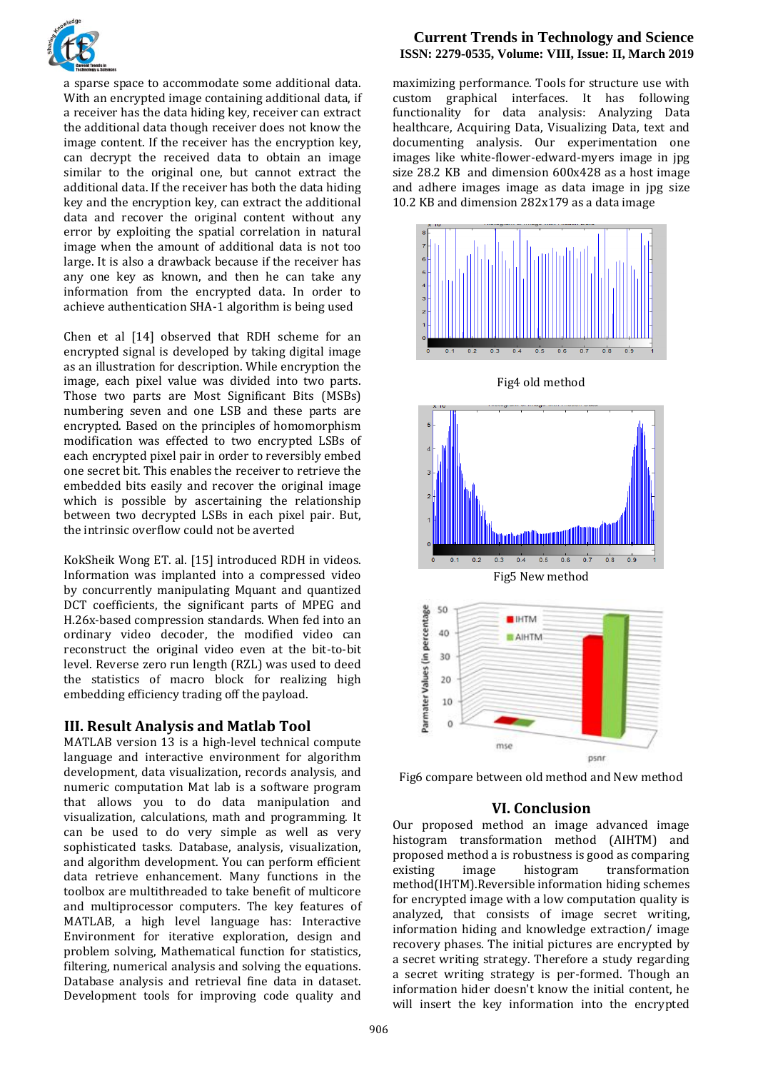

a sparse space to accommodate some additional data. With an encrypted image containing additional data, if a receiver has the data hiding key, receiver can extract the additional data though receiver does not know the image content. If the receiver has the encryption key, can decrypt the received data to obtain an image similar to the original one, but cannot extract the additional data. If the receiver has both the data hiding key and the encryption key, can extract the additional data and recover the original content without any error by exploiting the spatial correlation in natural image when the amount of additional data is not too large. It is also a drawback because if the receiver has any one key as known, and then he can take any information from the encrypted data. In order to achieve authentication SHA-1 algorithm is being used

Chen et al [14] observed that RDH scheme for an encrypted signal is developed by taking digital image as an illustration for description. While encryption the image, each pixel value was divided into two parts. Those two parts are Most Significant Bits (MSBs) numbering seven and one LSB and these parts are encrypted. Based on the principles of homomorphism modification was effected to two encrypted LSBs of each encrypted pixel pair in order to reversibly embed one secret bit. This enables the receiver to retrieve the embedded bits easily and recover the original image which is possible by ascertaining the relationship between two decrypted LSBs in each pixel pair. But, the intrinsic overflow could not be averted

KokSheik Wong ET. al. [15] introduced RDH in videos. Information was implanted into a compressed video by concurrently manipulating Mquant and quantized DCT coefficients, the significant parts of MPEG and H.26x-based compression standards. When fed into an ordinary video decoder, the modified video can reconstruct the original video even at the bit-to-bit level. Reverse zero run length (RZL) was used to deed the statistics of macro block for realizing high embedding efficiency trading off the payload.

#### **III. Result Analysis and Matlab Tool**

MATLAB version 13 is a high-level technical compute language and interactive environment for algorithm development, data visualization, records analysis, and numeric computation Mat lab is a software program that allows you to do data manipulation and visualization, calculations, math and programming. It can be used to do very simple as well as very sophisticated tasks. Database, analysis, visualization, and algorithm development. You can perform efficient data retrieve enhancement. Many functions in the toolbox are multithreaded to take benefit of multicore and multiprocessor computers. The key features of MATLAB, a high level language has: Interactive Environment for iterative exploration, design and problem solving, Mathematical function for statistics, filtering, numerical analysis and solving the equations. Database analysis and retrieval fine data in dataset. Development tools for improving code quality and

### **Current Trends in Technology and Science ISSN: 2279-0535, Volume: VIII, Issue: II, March 2019**

maximizing performance. Tools for structure use with custom graphical interfaces. It has following functionality for data analysis: Analyzing Data healthcare, Acquiring Data, Visualizing Data, text and documenting analysis. Our experimentation one images like white-flower-edward-myers image in jpg size 28.2 KB and dimension 600x428 as a host image and adhere images image as data image in jpg size 10.2 KB and dimension 282x179 as a data image



Fig6 compare between old method and New method

#### **VI. Conclusion**

Our proposed method an image advanced image histogram transformation method (AIHTM) and proposed method a is robustness is good as comparing existing image histogram transformation method(IHTM).Reversible information hiding schemes for encrypted image with a low computation quality is analyzed, that consists of image secret writing, information hiding and knowledge extraction/ image recovery phases. The initial pictures are encrypted by a secret writing strategy. Therefore a study regarding a secret writing strategy is per-formed. Though an information hider doesn't know the initial content, he will insert the key information into the encrypted